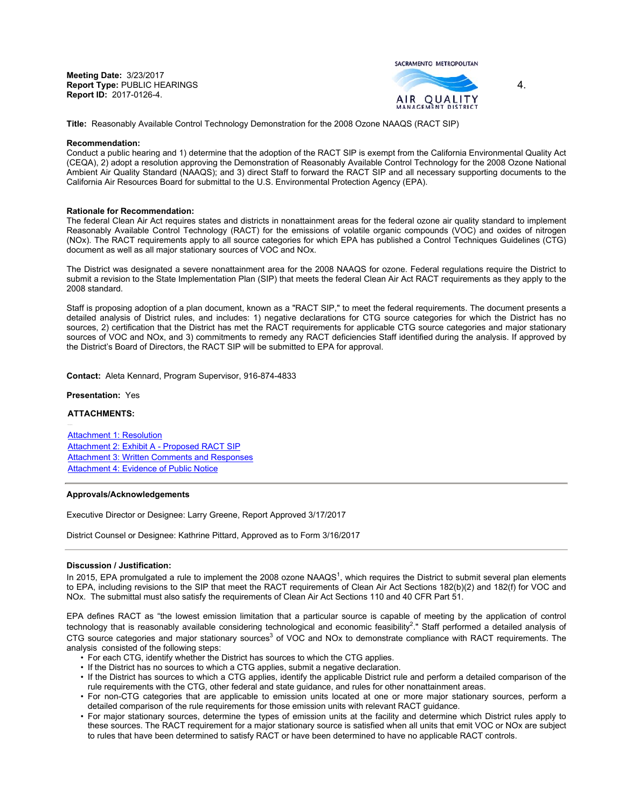**Meeting Date:** 3/23/2017 **Report Type:** PUBLIC HEARINGS **Report ID:** 2017-0126-4.





4.

**Title:** Reasonably Available Control Technology Demonstration for the 2008 Ozone NAAQS (RACT SIP)

### **Recommendation:**

Conduct a public hearing and 1) determine that the adoption of the RACT SIP is exempt from the California Environmental Quality Act (CEQA), 2) adopt a resolution approving the Demonstration of Reasonably Available Control Technology for the 2008 Ozone National Ambient Air Quality Standard (NAAQS); and 3) direct Staff to forward the RACT SIP and all necessary supporting documents to the California Air Resources Board for submittal to the U.S. Environmental Protection Agency (EPA).

### **Rationale for Recommendation:**

The federal Clean Air Act requires states and districts in nonattainment areas for the federal ozone air quality standard to implement Reasonably Available Control Technology (RACT) for the emissions of volatile organic compounds (VOC) and oxides of nitrogen (NOx). The RACT requirements apply to all source categories for which EPA has published a Control Techniques Guidelines (CTG) document as well as all major stationary sources of VOC and NOx.

The District was designated a severe nonattainment area for the 2008 NAAQS for ozone. Federal regulations require the District to submit a revision to the State Implementation Plan (SIP) that meets the federal Clean Air Act RACT requirements as they apply to the 2008 standard.

Staff is proposing adoption of a plan document, known as a "RACT SIP," to meet the federal requirements. The document presents a detailed analysis of District rules, and includes: 1) negative declarations for CTG source categories for which the District has no sources, 2) certification that the District has met the RACT requirements for applicable CTG source categories and major stationary sources of VOC and NOx, and 3) commitments to remedy any RACT deficiencies Staff identified during the analysis. If approved by the District's Board of Directors, the RACT SIP will be submitted to EPA for approval.

**Contact:** Aleta Kennard, Program Supervisor, 916-874-4833

### **Presentation:** Yes

## **ATTACHMENTS:**

Attachment 1: Resolution Attachment 2: Exhibit A - Proposed RACT SIP Attachment 3: Written Comments and Responses Attachment 4: Evidence of Public Notice

#### **Approvals/Acknowledgements**

Executive Director or Designee: Larry Greene, Report Approved 3/17/2017

District Counsel or Designee: Kathrine Pittard, Approved as to Form 3/16/2017

# **Discussion / Justification:**

In 2015, EPA promulgated a rule to implement the 2008 ozone NAAQS<sup>1</sup>, which requires the District to submit several plan elements to EPA, including revisions to the SIP that meet the RACT requirements of Clean Air Act Sections 182(b)(2) and 182(f) for VOC and NOx. The submittal must also satisfy the requirements of Clean Air Act Sections 110 and 40 CFR Part 51.

EPA defines RACT as "the lowest emission limitation that a particular source is capable of meeting by the application of control technology that is reasonably available considering technological and economic feasibility<sup>2</sup>." Staff performed a detailed analysis of CTG source categories and major stationary sources<sup>3</sup> of VOC and NOx to demonstrate compliance with RACT requirements. The analysis consisted of the following steps:

- For each CTG, identify whether the District has sources to which the CTG applies.
- If the District has no sources to which a CTG applies, submit a negative declaration.
- If the District has sources to which a CTG applies, identify the applicable District rule and perform a detailed comparison of the rule requirements with the CTG, other federal and state guidance, and rules for other nonattainment areas.
- For non-CTG categories that are applicable to emission units located at one or more major stationary sources, perform a detailed comparison of the rule requirements for those emission units with relevant RACT guidance.
- For major stationary sources, determine the types of emission units at the facility and determine which District rules apply to these sources. The RACT requirement for a major stationary source is satisfied when all units that emit VOC or NOx are subject to rules that have been determined to satisfy RACT or have been determined to have no applicable RACT controls.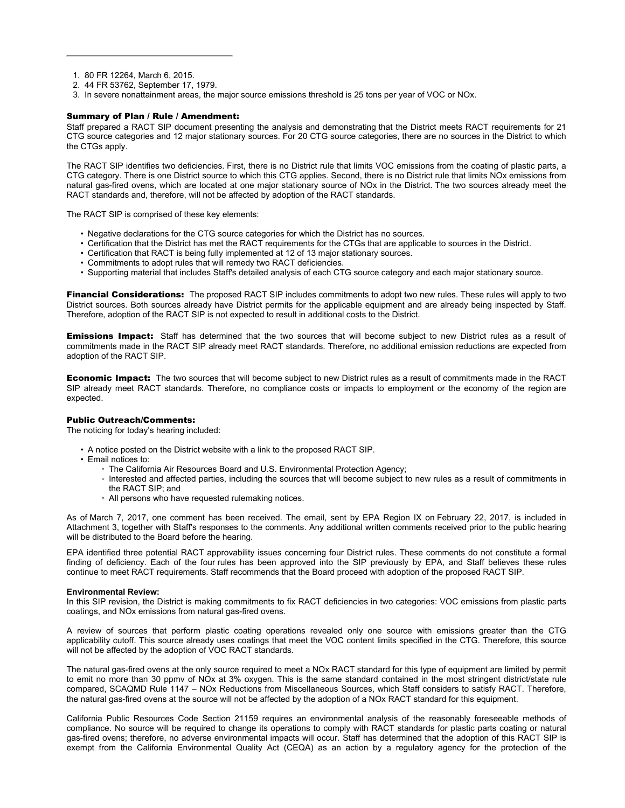- 1. 80 FR 12264, March 6, 2015.
- 2. 44 FR 53762, September 17, 1979.
- 3. In severe nonattainment areas, the major source emissions threshold is 25 tons per year of VOC or NOx.

# Summary of Plan / Rule / Amendment:

Staff prepared a RACT SIP document presenting the analysis and demonstrating that the District meets RACT requirements for 21 CTG source categories and 12 major stationary sources. For 20 CTG source categories, there are no sources in the District to which the CTGs apply.

The RACT SIP identifies two deficiencies. First, there is no District rule that limits VOC emissions from the coating of plastic parts, a CTG category. There is one District source to which this CTG applies. Second, there is no District rule that limits NOx emissions from natural gas-fired ovens, which are located at one major stationary source of NOx in the District. The two sources already meet the RACT standards and, therefore, will not be affected by adoption of the RACT standards.

The RACT SIP is comprised of these key elements:

- Negative declarations for the CTG source categories for which the District has no sources.
- Certification that the District has met the RACT requirements for the CTGs that are applicable to sources in the District.
- Certification that RACT is being fully implemented at 12 of 13 major stationary sources.
- Commitments to adopt rules that will remedy two RACT deficiencies.
- Supporting material that includes Staff's detailed analysis of each CTG source category and each major stationary source.

**Financial Considerations:** The proposed RACT SIP includes commitments to adopt two new rules. These rules will apply to two District sources. Both sources already have District permits for the applicable equipment and are already being inspected by Staff. Therefore, adoption of the RACT SIP is not expected to result in additional costs to the District.

**Emissions Impact:** Staff has determined that the two sources that will become subject to new District rules as a result of commitments made in the RACT SIP already meet RACT standards. Therefore, no additional emission reductions are expected from adoption of the RACT SIP.

**Economic Impact:** The two sources that will become subject to new District rules as a result of commitments made in the RACT SIP already meet RACT standards. Therefore, no compliance costs or impacts to employment or the economy of the region are expected.

# Public Outreach/Comments:

The noticing for today's hearing included:

- A notice posted on the District website with a link to the proposed RACT SIP.
- Email notices to:
	- The California Air Resources Board and U.S. Environmental Protection Agency;
	- Interested and affected parties, including the sources that will become subject to new rules as a result of commitments in the RACT SIP; and
	- All persons who have requested rulemaking notices.

As of March 7, 2017, one comment has been received. The email, sent by EPA Region IX on February 22, 2017, is included in Attachment 3, together with Staff's responses to the comments. Any additional written comments received prior to the public hearing will be distributed to the Board before the hearing.

EPA identified three potential RACT approvability issues concerning four District rules. These comments do not constitute a formal finding of deficiency. Each of the four rules has been approved into the SIP previously by EPA, and Staff believes these rules continue to meet RACT requirements. Staff recommends that the Board proceed with adoption of the proposed RACT SIP.

## **Environmental Review:**

In this SIP revision, the District is making commitments to fix RACT deficiencies in two categories: VOC emissions from plastic parts coatings, and NOx emissions from natural gas-fired ovens.

A review of sources that perform plastic coating operations revealed only one source with emissions greater than the CTG applicability cutoff. This source already uses coatings that meet the VOC content limits specified in the CTG. Therefore, this source will not be affected by the adoption of VOC RACT standards.

The natural gas-fired ovens at the only source required to meet a NOx RACT standard for this type of equipment are limited by permit to emit no more than 30 ppmv of NOx at 3% oxygen. This is the same standard contained in the most stringent district/state rule compared, SCAQMD Rule 1147 – NOx Reductions from Miscellaneous Sources, which Staff considers to satisfy RACT. Therefore, the natural gas-fired ovens at the source will not be affected by the adoption of a NOx RACT standard for this equipment.

California Public Resources Code Section 21159 requires an environmental analysis of the reasonably foreseeable methods of compliance. No source will be required to change its operations to comply with RACT standards for plastic parts coating or natural gas-fired ovens; therefore, no adverse environmental impacts will occur. Staff has determined that the adoption of this RACT SIP is exempt from the California Environmental Quality Act (CEQA) as an action by a regulatory agency for the protection of the